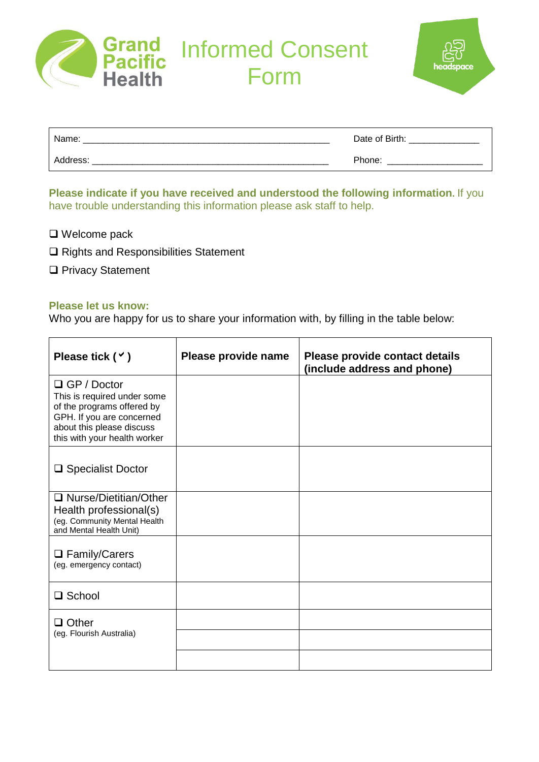

Informed Consent Form

| Name:    | Date of Birth: |
|----------|----------------|
| Address: | Phone:         |

**Please indicate if you have received and understood the following information.** If you have trouble understanding this information please ask staff to help.

- □ Welcome pack
- □ Rights and Responsibilities Statement
- □ Privacy Statement

## **Please let us know:**

Who you are happy for us to share your information with, by filling in the table below:

| Please tick $($ $\checkmark$ $)$                                                                                                                                          | Please provide name | Please provide contact details<br>(include address and phone) |
|---------------------------------------------------------------------------------------------------------------------------------------------------------------------------|---------------------|---------------------------------------------------------------|
| $\Box$ GP / Doctor<br>This is required under some<br>of the programs offered by<br>GPH. If you are concerned<br>about this please discuss<br>this with your health worker |                     |                                                               |
| □ Specialist Doctor                                                                                                                                                       |                     |                                                               |
| $\Box$ Nurse/Dietitian/Other<br>Health professional(s)<br>(eg. Community Mental Health<br>and Mental Health Unit)                                                         |                     |                                                               |
| □ Family/Carers<br>(eg. emergency contact)                                                                                                                                |                     |                                                               |
| □ School                                                                                                                                                                  |                     |                                                               |
| $\square$ Other<br>(eg. Flourish Australia)                                                                                                                               |                     |                                                               |
|                                                                                                                                                                           |                     |                                                               |
|                                                                                                                                                                           |                     |                                                               |